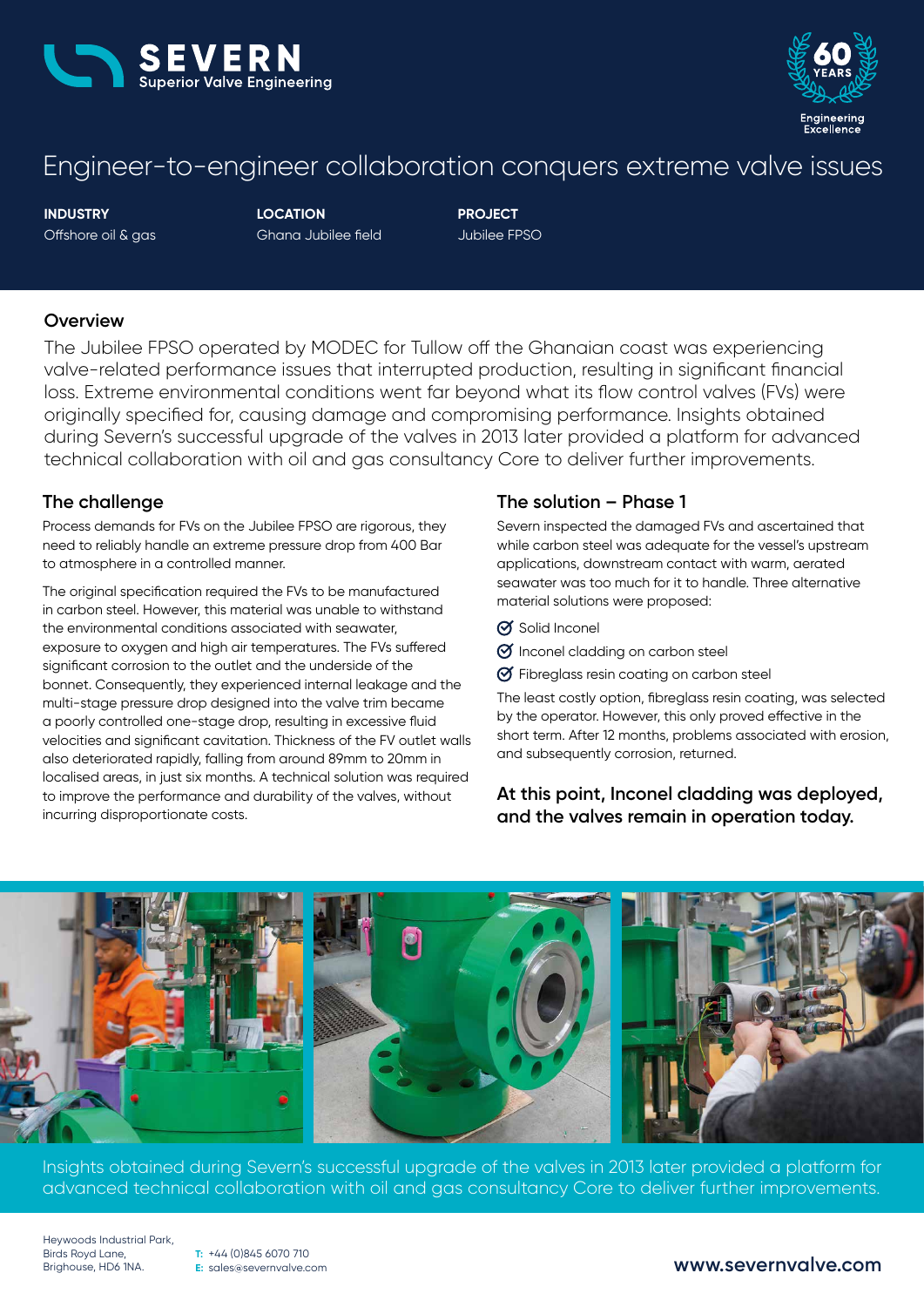



# Engineer-to-engineer collaboration conquers extreme valve issues

**INDUSTRY** Offshore oil & gas **LOCATION** Ghana Jubilee field **PROJECT** Jubilee FPSO

#### **Overview**

The Jubilee FPSO operated by MODEC for Tullow off the Ghanaian coast was experiencing valve-related performance issues that interrupted production, resulting in significant financial loss. Extreme environmental conditions went far beyond what its flow control valves (FVs) were originally specified for, causing damage and compromising performance. Insights obtained during Severn's successful upgrade of the valves in 2013 later provided a platform for advanced technical collaboration with oil and gas consultancy Core to deliver further improvements.

#### **The challenge**

Process demands for FVs on the Jubilee FPSO are rigorous, they need to reliably handle an extreme pressure drop from 400 Bar to atmosphere in a controlled manner.

The original specification required the FVs to be manufactured in carbon steel. However, this material was unable to withstand the environmental conditions associated with seawater, exposure to oxygen and high air temperatures. The FVs suffered significant corrosion to the outlet and the underside of the bonnet. Consequently, they experienced internal leakage and the multi-stage pressure drop designed into the valve trim became a poorly controlled one-stage drop, resulting in excessive fluid velocities and significant cavitation. Thickness of the FV outlet walls also deteriorated rapidly, falling from around 89mm to 20mm in localised areas, in just six months. A technical solution was required to improve the performance and durability of the valves, without incurring disproportionate costs.

## **The solution – Phase 1**

Severn inspected the damaged FVs and ascertained that while carbon steel was adequate for the vessel's upstream applications, downstream contact with warm, aerated seawater was too much for it to handle. Three alternative material solutions were proposed:

- Solid Inconel
- $\Theta$  Inconel cladding on carbon steel
- Fibreglass resin coating on carbon steel

The least costly option, fibreglass resin coating, was selected by the operator. However, this only proved effective in the short term. After 12 months, problems associated with erosion, and subsequently corrosion, returned.

## **At this point, Inconel cladding was deployed, and the valves remain in operation today.**



Insights obtained during Severn's successful upgrade of the valves in 2013 later provided a platform for advanced technical collaboration with oil and gas consultancy Core to deliver further improvements.

Heywoods Industrial Park, Birds Royd Lane,<br>Brighouse, HD6 1NA.

**T:** +44 (0)845 6070 710 **E:** sales@severnvalve.com

### Brighouse, HD6 1NA. **www.severnvalve.com**